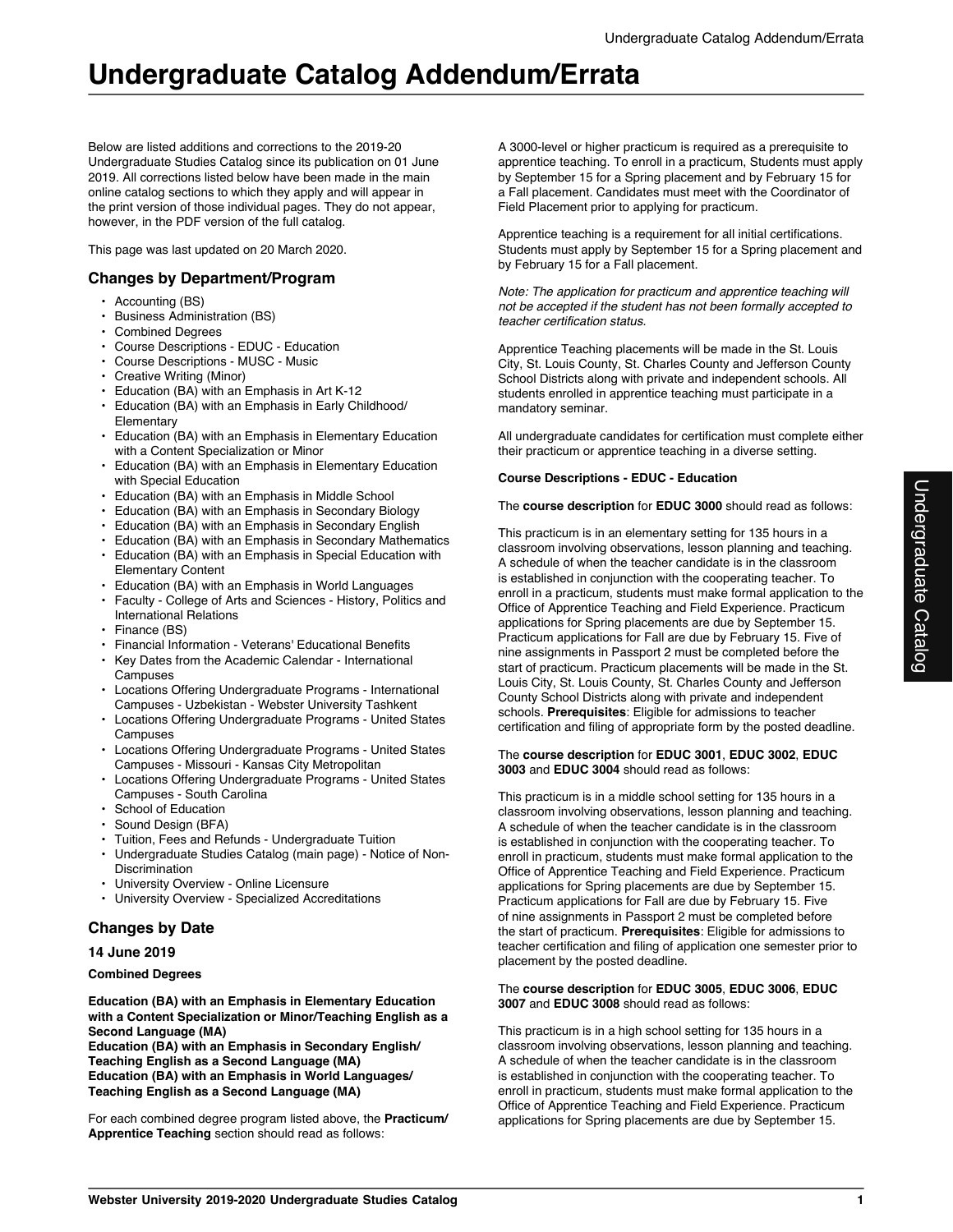Below are listed additions and corrections to the 2019-20 Undergraduate Studies Catalog since its publication on 01 June 2019. All corrections listed below have been made in the main online catalog sections to which they apply and will appear in the print version of those individual pages. They do not appear, however, in the PDF version of the full catalog.

This page was last updated on 20 March 2020.

# **Changes by Department/Program**

- Accounting (BS)
- Business Administration (BS)
- Combined Degrees
- Course Descriptions EDUC Education
- Course Descriptions MUSC Music
- Creative Writing (Minor)
- Education (BA) with an Emphasis in Art K-12
- Education (BA) with an Emphasis in Early Childhood/ Elementary
- Education (BA) with an Emphasis in Elementary Education with a Content Specialization or Minor
- Education (BA) with an Emphasis in Elementary Education with Special Education
- Education (BA) with an Emphasis in Middle School
- Education (BA) with an Emphasis in Secondary Biology
- Education (BA) with an Emphasis in Secondary English
- Education (BA) with an Emphasis in Secondary Mathematics
- Education (BA) with an Emphasis in Special Education with Elementary Content
- Education (BA) with an Emphasis in World Languages
- Faculty College of Arts and Sciences History, Politics and International Relations
- Finance (BS)
- Financial Information Veterans' Educational Benefits
- Key Dates from the Academic Calendar International **Campuses**
- Locations Offering Undergraduate Programs International Campuses - Uzbekistan - Webster University Tashkent
- Locations Offering Undergraduate Programs United States Campuses
- Locations Offering Undergraduate Programs United States Campuses - Missouri - Kansas City Metropolitan
- Locations Offering Undergraduate Programs United States Campuses - South Carolina
- School of Education
- Sound Design (BFA)
- Tuition, Fees and Refunds Undergraduate Tuition
- Undergraduate Studies Catalog (main page) Notice of Non-Discrimination
- University Overview Online Licensure
- University Overview Specialized Accreditations

# **Changes by Date**

# **14 June 2019**

## **Combined Degrees**

**Education (BA) with an Emphasis in Elementary Education with a Content Specialization or Minor/Teaching English as a Second Language (MA)**

**Education (BA) with an Emphasis in Secondary English/ Teaching English as a Second Language (MA) Education (BA) with an Emphasis in World Languages/ Teaching English as a Second Language (MA)**

For each combined degree program listed above, the **Practicum/ Apprentice Teaching** section should read as follows:

A 3000-level or higher practicum is required as a prerequisite to apprentice teaching. To enroll in a practicum, Students must apply by September 15 for a Spring placement and by February 15 for a Fall placement. Candidates must meet with the Coordinator of Field Placement prior to applying for practicum.

Apprentice teaching is a requirement for all initial certifications. Students must apply by September 15 for a Spring placement and by February 15 for a Fall placement.

*Note: The application for practicum and apprentice teaching will not be accepted if the student has not been formally accepted to teacher certification status.*

Apprentice Teaching placements will be made in the St. Louis City, St. Louis County, St. Charles County and Jefferson County School Districts along with private and independent schools. All students enrolled in apprentice teaching must participate in a mandatory seminar.

All undergraduate candidates for certification must complete either their practicum or apprentice teaching in a diverse setting.

## **Course Descriptions - EDUC - Education**

## The **course description** for **EDUC 3000** should read as follows:

This practicum is in an elementary setting for 135 hours in a classroom involving observations, lesson planning and teaching. A schedule of when the teacher candidate is in the classroom is established in conjunction with the cooperating teacher. To enroll in a practicum, students must make formal application to the Office of Apprentice Teaching and Field Experience. Practicum applications for Spring placements are due by September 15. Practicum applications for Fall are due by February 15. Five of nine assignments in Passport 2 must be completed before the start of practicum. Practicum placements will be made in the St. Louis City, St. Louis County, St. Charles County and Jefferson County School Districts along with private and independent schools. **Prerequisites**: Eligible for admissions to teacher certification and filing of appropriate form by the posted deadline.

#### The **course description** for **EDUC 3001**, **EDUC 3002**, **EDUC 3003** and **EDUC 3004** should read as follows:

This practicum is in a middle school setting for 135 hours in a classroom involving observations, lesson planning and teaching. A schedule of when the teacher candidate is in the classroom is established in conjunction with the cooperating teacher. To enroll in practicum, students must make formal application to the Office of Apprentice Teaching and Field Experience. Practicum applications for Spring placements are due by September 15. Practicum applications for Fall are due by February 15. Five of nine assignments in Passport 2 must be completed before the start of practicum. **Prerequisites**: Eligible for admissions to teacher certification and filing of application one semester prior to placement by the posted deadline.

#### The **course description** for **EDUC 3005**, **EDUC 3006**, **EDUC 3007** and **EDUC 3008** should read as follows:

This practicum is in a high school setting for 135 hours in a classroom involving observations, lesson planning and teaching. A schedule of when the teacher candidate is in the classroom is established in conjunction with the cooperating teacher. To enroll in practicum, students must make formal application to the Office of Apprentice Teaching and Field Experience. Practicum applications for Spring placements are due by September 15.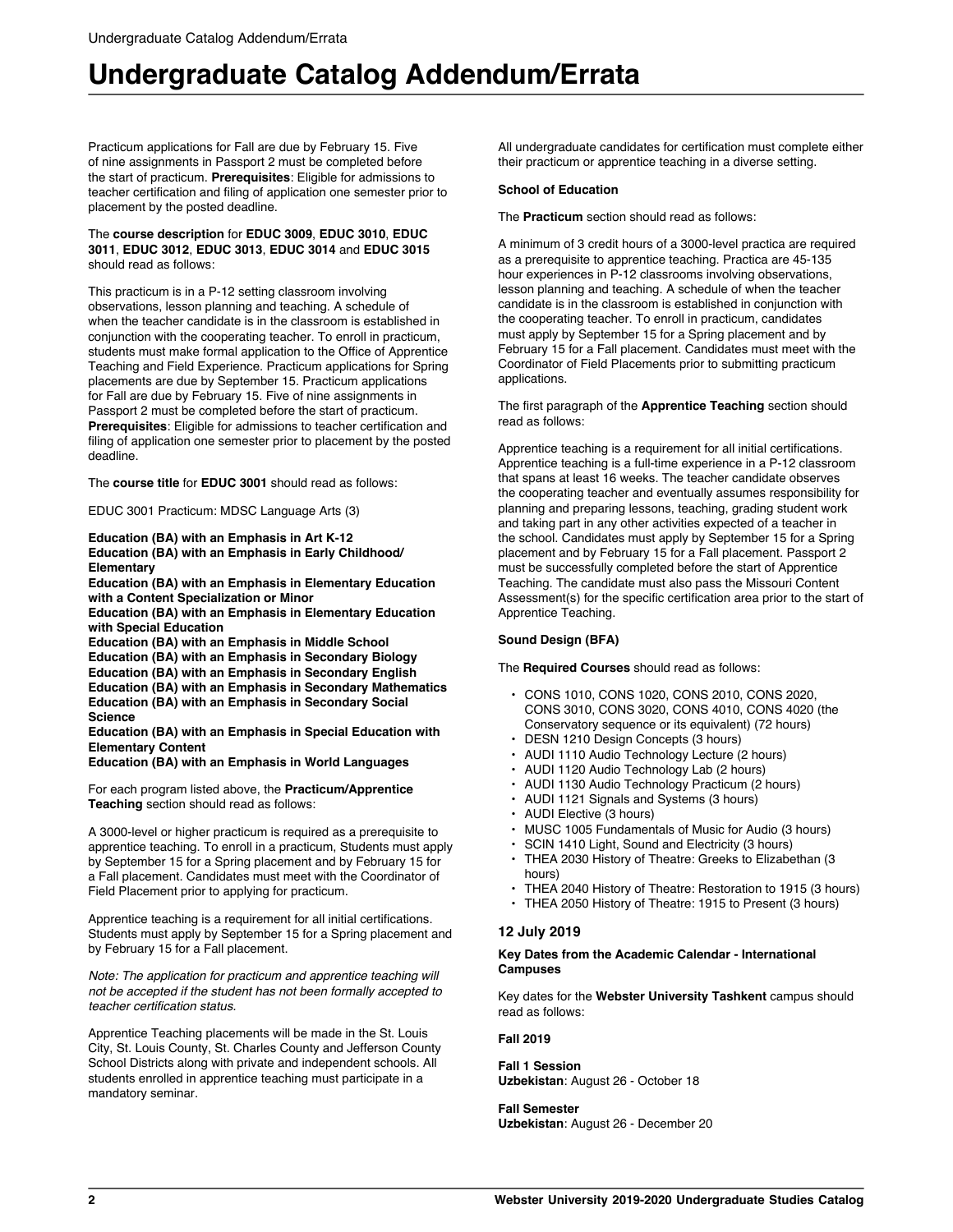Practicum applications for Fall are due by February 15. Five of nine assignments in Passport 2 must be completed before the start of practicum. **Prerequisites**: Eligible for admissions to teacher certification and filing of application one semester prior to placement by the posted deadline.

#### The **course description** for **EDUC 3009**, **EDUC 3010**, **EDUC 3011**, **EDUC 3012**, **EDUC 3013**, **EDUC 3014** and **EDUC 3015** should read as follows:

This practicum is in a P-12 setting classroom involving observations, lesson planning and teaching. A schedule of when the teacher candidate is in the classroom is established in conjunction with the cooperating teacher. To enroll in practicum, students must make formal application to the Office of Apprentice Teaching and Field Experience. Practicum applications for Spring placements are due by September 15. Practicum applications for Fall are due by February 15. Five of nine assignments in Passport 2 must be completed before the start of practicum. **Prerequisites**: Eligible for admissions to teacher certification and filing of application one semester prior to placement by the posted deadline.

The **course title** for **EDUC 3001** should read as follows:

EDUC 3001 Practicum: MDSC Language Arts (3)

**Education (BA) with an Emphasis in Art K-12 Education (BA) with an Emphasis in Early Childhood/ Elementary**

**Education (BA) with an Emphasis in Elementary Education with a Content Specialization or Minor**

**Education (BA) with an Emphasis in Elementary Education with Special Education**

**Education (BA) with an Emphasis in Middle School**

**Education (BA) with an Emphasis in Secondary Biology Education (BA) with an Emphasis in Secondary English Education (BA) with an Emphasis in Secondary Mathematics**

**Education (BA) with an Emphasis in Secondary Social Science**

**Education (BA) with an Emphasis in Special Education with Elementary Content**

# **Education (BA) with an Emphasis in World Languages**

For each program listed above, the **Practicum/Apprentice Teaching** section should read as follows:

A 3000-level or higher practicum is required as a prerequisite to apprentice teaching. To enroll in a practicum, Students must apply by September 15 for a Spring placement and by February 15 for a Fall placement. Candidates must meet with the Coordinator of Field Placement prior to applying for practicum.

Apprentice teaching is a requirement for all initial certifications. Students must apply by September 15 for a Spring placement and by February 15 for a Fall placement.

*Note: The application for practicum and apprentice teaching will not be accepted if the student has not been formally accepted to teacher certification status.*

Apprentice Teaching placements will be made in the St. Louis City, St. Louis County, St. Charles County and Jefferson County School Districts along with private and independent schools. All students enrolled in apprentice teaching must participate in a mandatory seminar.

All undergraduate candidates for certification must complete either their practicum or apprentice teaching in a diverse setting.

#### **School of Education**

The **Practicum** section should read as follows:

A minimum of 3 credit hours of a 3000-level practica are required as a prerequisite to apprentice teaching. Practica are 45-135 hour experiences in P-12 classrooms involving observations, lesson planning and teaching. A schedule of when the teacher candidate is in the classroom is established in conjunction with the cooperating teacher. To enroll in practicum, candidates must apply by September 15 for a Spring placement and by February 15 for a Fall placement. Candidates must meet with the Coordinator of Field Placements prior to submitting practicum applications.

The first paragraph of the **Apprentice Teaching** section should read as follows:

Apprentice teaching is a requirement for all initial certifications. Apprentice teaching is a full-time experience in a P-12 classroom that spans at least 16 weeks. The teacher candidate observes the cooperating teacher and eventually assumes responsibility for planning and preparing lessons, teaching, grading student work and taking part in any other activities expected of a teacher in the school. Candidates must apply by September 15 for a Spring placement and by February 15 for a Fall placement. Passport 2 must be successfully completed before the start of Apprentice Teaching. The candidate must also pass the Missouri Content Assessment(s) for the specific certification area prior to the start of Apprentice Teaching.

#### **Sound Design (BFA)**

The **Required Courses** should read as follows:

- CONS 1010, CONS 1020, CONS 2010, CONS 2020, CONS 3010, CONS 3020, CONS 4010, CONS 4020 (the Conservatory sequence or its equivalent) (72 hours)
- DESN 1210 Design Concepts (3 hours)
- AUDI 1110 Audio Technology Lecture (2 hours)
- AUDI 1120 Audio Technology Lab (2 hours)
- AUDI 1130 Audio Technology Practicum (2 hours)
- AUDI 1121 Signals and Systems (3 hours)
- AUDI Elective (3 hours)
- MUSC 1005 Fundamentals of Music for Audio (3 hours)
- SCIN 1410 Light, Sound and Electricity (3 hours)
- THEA 2030 History of Theatre: Greeks to Elizabethan (3 hours)
- THEA 2040 History of Theatre: Restoration to 1915 (3 hours)
- THEA 2050 History of Theatre: 1915 to Present (3 hours)

#### **12 July 2019**

#### **Key Dates from the Academic Calendar - International Campuses**

Key dates for the **Webster University Tashkent** campus should read as follows:

#### **Fall 2019**

**Fall 1 Session Uzbekistan**: August 26 - October 18

**Fall Semester Uzbekistan**: August 26 - December 20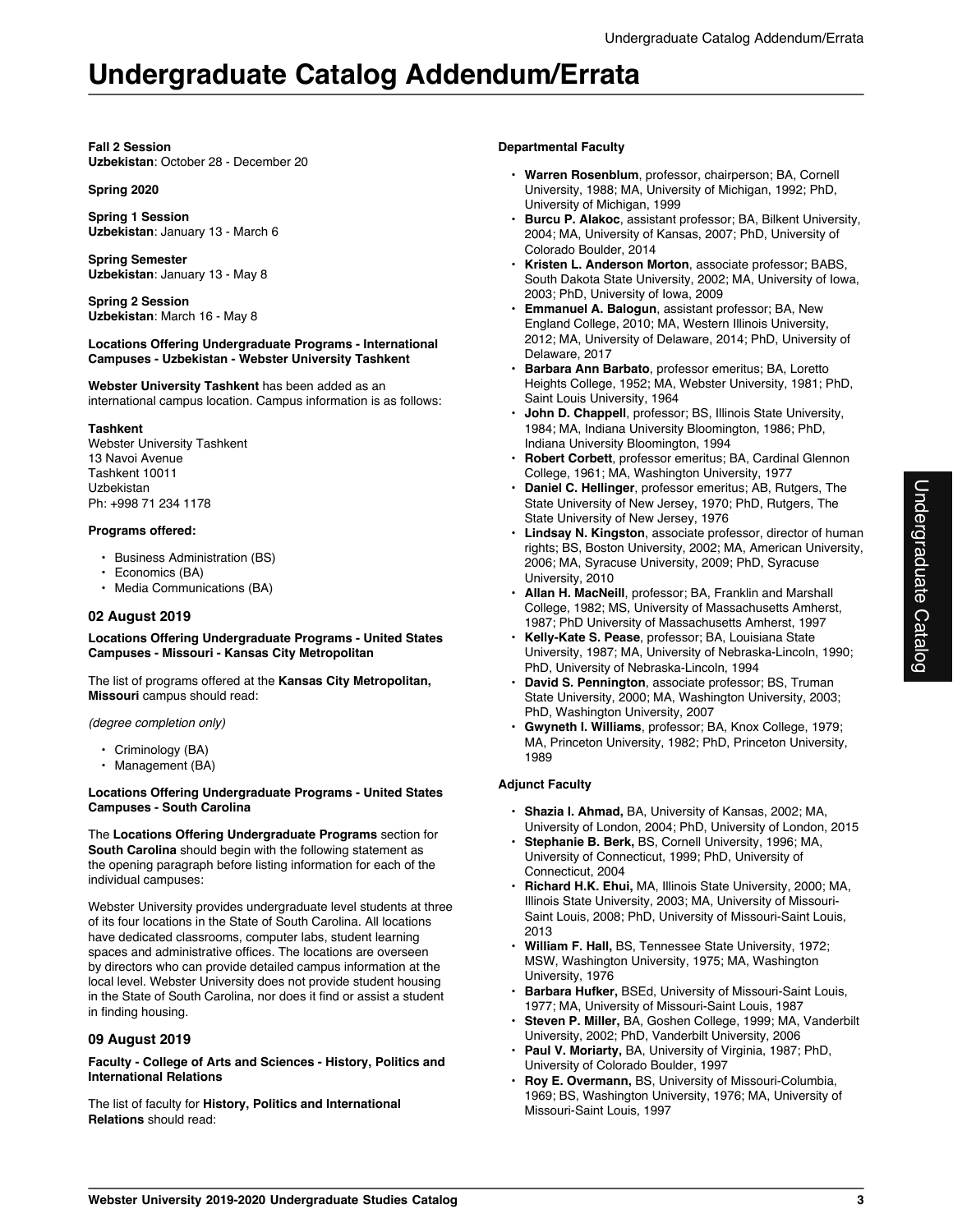#### **Fall 2 Session Uzbekistan**: October 28 - December 20

### **Spring 2020**

**Spring 1 Session Uzbekistan**: January 13 - March 6

**Spring Semester Uzbekistan**: January 13 - May 8

**Spring 2 Session Uzbekistan**: March 16 - May 8

#### **Locations Offering Undergraduate Programs - International Campuses - Uzbekistan - Webster University Tashkent**

**Webster University Tashkent** has been added as an international campus location. Campus information is as follows:

## **Tashkent**

Webster University Tashkent 13 Navoi Avenue Tashkent 10011 Uzbekistan Ph: +998 71 234 1178

## **Programs offered:**

- Business Administration (BS)
- Economics (BA)
- Media Communications (BA)

# **02 August 2019**

**Locations Offering Undergraduate Programs - United States Campuses - Missouri - Kansas City Metropolitan**

The list of programs offered at the **Kansas City Metropolitan, Missouri** campus should read:

*(degree completion only)*

- Criminology (BA)
- Management (BA)

#### **Locations Offering Undergraduate Programs - United States Campuses - South Carolina**

The **Locations Offering Undergraduate Programs** section for **South Carolina** should begin with the following statement as the opening paragraph before listing information for each of the individual campuses:

Webster University provides undergraduate level students at three of its four locations in the State of South Carolina. All locations have dedicated classrooms, computer labs, student learning spaces and administrative offices. The locations are overseen by directors who can provide detailed campus information at the local level. Webster University does not provide student housing in the State of South Carolina, nor does it find or assist a student in finding housing.

# **09 August 2019**

**Faculty - College of Arts and Sciences - History, Politics and International Relations**

The list of faculty for **History, Politics and International Relations** should read:

## **Departmental Faculty**

- **Warren Rosenblum**, professor, chairperson; BA, Cornell University, 1988; MA, University of Michigan, 1992; PhD, University of Michigan, 1999
- **Burcu P. Alakoc**, assistant professor; BA, Bilkent University, 2004; MA, University of Kansas, 2007; PhD, University of Colorado Boulder, 2014
- **Kristen L. Anderson Morton**, associate professor; BABS, South Dakota State University, 2002; MA, University of Iowa, 2003; PhD, University of Iowa, 2009
- **Emmanuel A. Balogun**, assistant professor; BA, New England College, 2010; MA, Western Illinois University, 2012; MA, University of Delaware, 2014; PhD, University of Delaware, 2017
- **Barbara Ann Barbato**, professor emeritus; BA, Loretto Heights College, 1952; MA, Webster University, 1981; PhD, Saint Louis University, 1964
- **John D. Chappell**, professor; BS, Illinois State University, 1984; MA, Indiana University Bloomington, 1986; PhD, Indiana University Bloomington, 1994
- **Robert Corbett**, professor emeritus; BA, Cardinal Glennon College, 1961; MA, Washington University, 1977
- **Daniel C. Hellinger**, professor emeritus; AB, Rutgers, The State University of New Jersey, 1970; PhD, Rutgers, The State University of New Jersey, 1976
- **Lindsay N. Kingston**, associate professor, director of human rights; BS, Boston University, 2002; MA, American University, 2006; MA, Syracuse University, 2009; PhD, Syracuse University, 2010
- **Allan H. MacNeill**, professor; BA, Franklin and Marshall College, 1982; MS, University of Massachusetts Amherst, 1987; PhD University of Massachusetts Amherst, 1997
- **Kelly-Kate S. Pease**, professor; BA, Louisiana State University, 1987; MA, University of Nebraska-Lincoln, 1990; PhD, University of Nebraska-Lincoln, 1994
- **David S. Pennington**, associate professor; BS, Truman State University, 2000; MA, Washington University, 2003; PhD, Washington University, 2007
- **Gwyneth I. Williams**, professor; BA, Knox College, 1979; MA, Princeton University, 1982; PhD, Princeton University, 1989

# **Adjunct Faculty**

- **Shazia I. Ahmad,** BA, University of Kansas, 2002; MA, University of London, 2004; PhD, University of London, 2015
- **Stephanie B. Berk,** BS, Cornell University, 1996; MA, University of Connecticut, 1999; PhD, University of Connecticut, 2004
- **Richard H.K. Ehui,** MA, Illinois State University, 2000; MA, Illinois State University, 2003; MA, University of Missouri-Saint Louis, 2008; PhD, University of Missouri-Saint Louis, 2013
- **William F. Hall,** BS, Tennessee State University, 1972; MSW, Washington University, 1975; MA, Washington University, 1976
- **Barbara Hufker,** BSEd, University of Missouri-Saint Louis, 1977; MA, University of Missouri-Saint Louis, 1987
- **Steven P. Miller,** BA, Goshen College, 1999; MA, Vanderbilt University, 2002; PhD, Vanderbilt University, 2006
- **Paul V. Moriarty,** BA, University of Virginia, 1987; PhD, University of Colorado Boulder, 1997
- **Roy E. Overmann,** BS, University of Missouri-Columbia, 1969; BS, Washington University, 1976; MA, University of Missouri-Saint Louis, 1997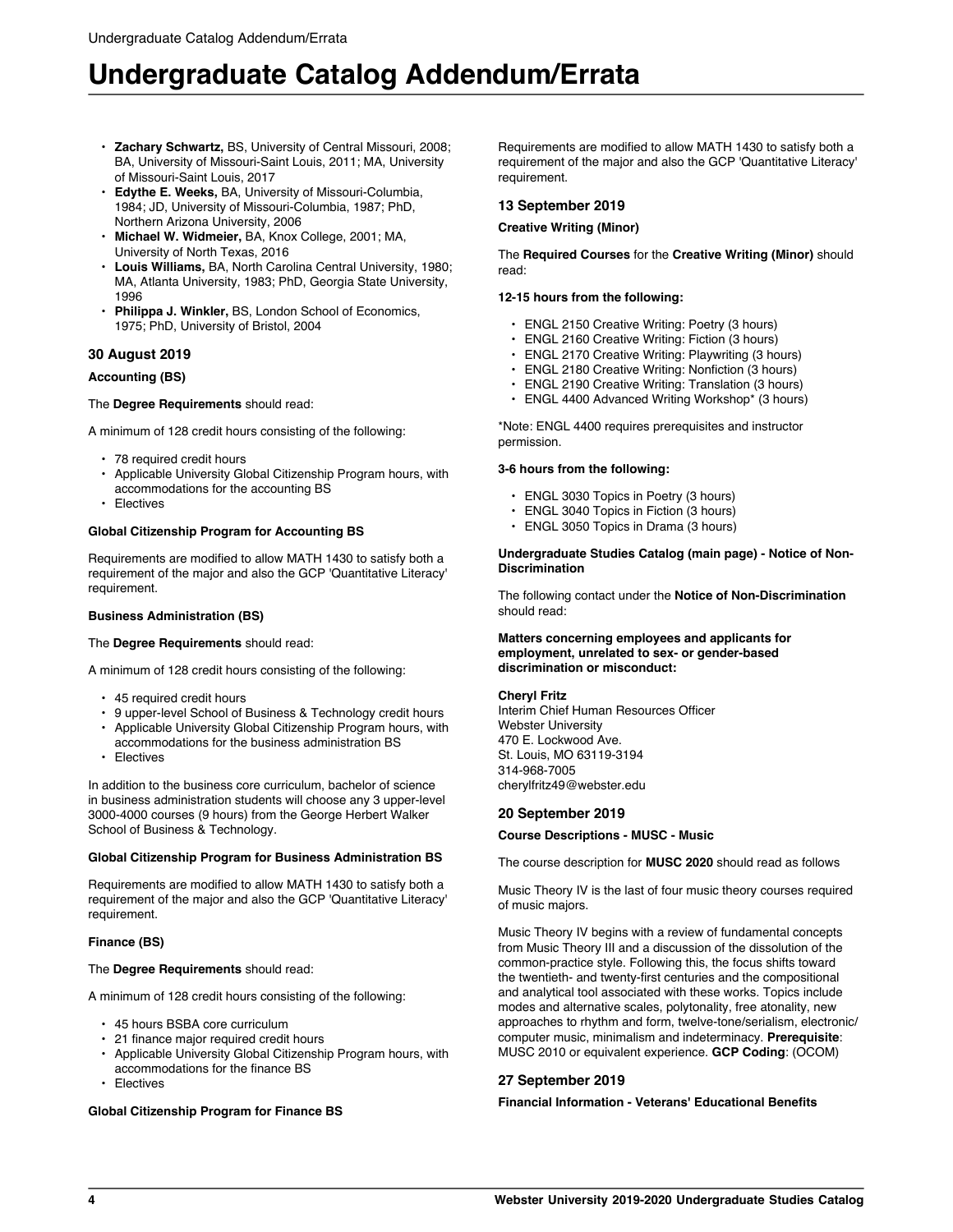- **Zachary Schwartz,** BS, University of Central Missouri, 2008; BA, University of Missouri-Saint Louis, 2011; MA, University of Missouri-Saint Louis, 2017
- **Edythe E. Weeks,** BA, University of Missouri-Columbia, 1984; JD, University of Missouri-Columbia, 1987; PhD, Northern Arizona University, 2006
- **Michael W. Widmeier,** BA, Knox College, 2001; MA, University of North Texas, 2016
- **Louis Williams,** BA, North Carolina Central University, 1980; MA, Atlanta University, 1983; PhD, Georgia State University, 1996
- **Philippa J. Winkler,** BS, London School of Economics, 1975; PhD, University of Bristol, 2004

# **30 August 2019**

# **Accounting (BS)**

# The **Degree Requirements** should read:

A minimum of 128 credit hours consisting of the following:

- 78 required credit hours
- Applicable University Global Citizenship Program hours, with accommodations for the accounting BS
- **Electives**

# **Global Citizenship Program for Accounting BS**

Requirements are modified to allow MATH 1430 to satisfy both a requirement of the major and also the GCP 'Quantitative Literacy' requirement.

## **Business Administration (BS)**

#### The **Degree Requirements** should read:

A minimum of 128 credit hours consisting of the following:

• 45 required credit hours

School of Business & Technology.

- 9 upper-level School of Business & Technology credit hours • Applicable University Global Citizenship Program hours, with
- accommodations for the business administration BS **Electives**
- In addition to the business core curriculum, bachelor of science in business administration students will choose any 3 upper-level 3000-4000 courses (9 hours) from the George Herbert Walker

# **Global Citizenship Program for Business Administration BS**

Requirements are modified to allow MATH 1430 to satisfy both a requirement of the major and also the GCP 'Quantitative Literacy' requirement.

# **Finance (BS)**

# The **Degree Requirements** should read:

A minimum of 128 credit hours consisting of the following:

- 45 hours BSBA core curriculum
- 21 finance major required credit hours
- Applicable University Global Citizenship Program hours, with accommodations for the finance BS
- **Electives**

#### **Global Citizenship Program for Finance BS**

Requirements are modified to allow MATH 1430 to satisfy both a requirement of the major and also the GCP 'Quantitative Literacy' requirement.

## **13 September 2019**

### **Creative Writing (Minor)**

The **Required Courses** for the **Creative Writing (Minor)** should read:

### **12-15 hours from the following:**

- ENGL 2150 Creative Writing: Poetry (3 hours)
- ENGL 2160 Creative Writing: Fiction (3 hours)
- ENGL 2170 Creative Writing: Playwriting (3 hours)
- ENGL 2180 Creative Writing: Nonfiction (3 hours)
- ENGL 2190 Creative Writing: Translation (3 hours)
- ENGL 4400 Advanced Writing Workshop\* (3 hours)

\*Note: ENGL 4400 requires prerequisites and instructor permission.

# **3-6 hours from the following:**

- ENGL 3030 Topics in Poetry (3 hours)
- ENGL 3040 Topics in Fiction (3 hours)
- ENGL 3050 Topics in Drama (3 hours)

#### **Undergraduate Studies Catalog (main page) - Notice of Non-Discrimination**

The following contact under the **Notice of Non-Discrimination** should read:

#### **Matters concerning employees and applicants for employment, unrelated to sex- or gender-based discrimination or misconduct:**

#### **Cheryl Fritz**

Interim Chief Human Resources Officer Webster University 470 E. Lockwood Ave. St. Louis, MO 63119-3194 314-968-7005 cherylfritz49@webster.edu

# **20 September 2019**

# **Course Descriptions - MUSC - Music**

The course description for **MUSC 2020** should read as follows

Music Theory IV is the last of four music theory courses required of music majors.

Music Theory IV begins with a review of fundamental concepts from Music Theory III and a discussion of the dissolution of the common-practice style. Following this, the focus shifts toward the twentieth- and twenty-first centuries and the compositional and analytical tool associated with these works. Topics include modes and alternative scales, polytonality, free atonality, new approaches to rhythm and form, twelve-tone/serialism, electronic/ computer music, minimalism and indeterminacy. **Prerequisite**: MUSC 2010 or equivalent experience. **GCP Coding**: (OCOM)

# **27 September 2019**

#### **Financial Information - Veterans' Educational Benefits**